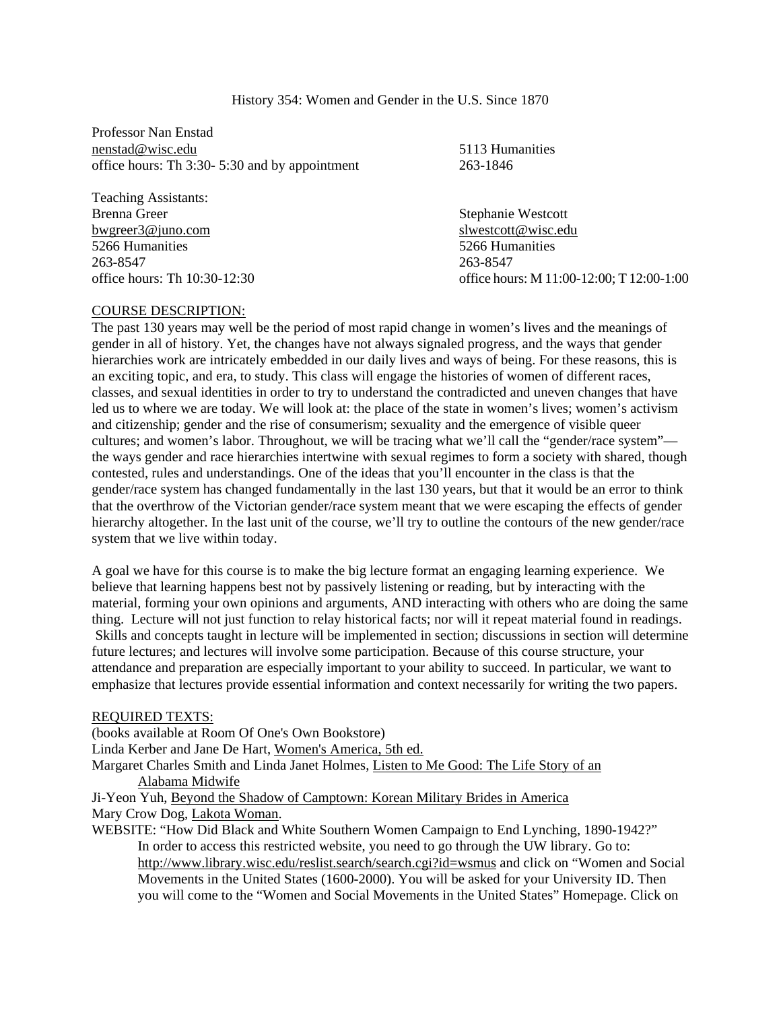| History 354: Women and Gender in the U.S. Since 1870 |  |  |  |  |  |  |  |  |  |
|------------------------------------------------------|--|--|--|--|--|--|--|--|--|
|------------------------------------------------------|--|--|--|--|--|--|--|--|--|

Professor Nan Enstad nenstad@wisc.edu 5113 Humanities office hours: Th 3:30- 5:30 and by appointment 263-1846

Teaching Assistants: Brenna Greer Stephanie Westcott bwgreer3@juno.com slwestcott@wisc.edu 5266 Humanities 5266 Humanities 263-8547 263-8547

office hours: Th 10:30-12:30 office hours: M 11:00-12:00; T 12:00-1:00

### COURSE DESCRIPTION:

The past 130 years may well be the period of most rapid change in women's lives and the meanings of gender in all of history. Yet, the changes have not always signaled progress, and the ways that gender hierarchies work are intricately embedded in our daily lives and ways of being. For these reasons, this is an exciting topic, and era, to study. This class will engage the histories of women of different races, classes, and sexual identities in order to try to understand the contradicted and uneven changes that have led us to where we are today. We will look at: the place of the state in women's lives; women's activism and citizenship; gender and the rise of consumerism; sexuality and the emergence of visible queer cultures; and women's labor. Throughout, we will be tracing what we'll call the "gender/race system" the ways gender and race hierarchies intertwine with sexual regimes to form a society with shared, though contested, rules and understandings. One of the ideas that you'll encounter in the class is that the gender/race system has changed fundamentally in the last 130 years, but that it would be an error to think that the overthrow of the Victorian gender/race system meant that we were escaping the effects of gender hierarchy altogether. In the last unit of the course, we'll try to outline the contours of the new gender/race system that we live within today.

A goal we have for this course is to make the big lecture format an engaging learning experience. We believe that learning happens best not by passively listening or reading, but by interacting with the material, forming your own opinions and arguments, AND interacting with others who are doing the same thing. Lecture will not just function to relay historical facts; nor will it repeat material found in readings. Skills and concepts taught in lecture will be implemented in section; discussions in section will determine future lectures; and lectures will involve some participation. Because of this course structure, your attendance and preparation are especially important to your ability to succeed. In particular, we want to emphasize that lectures provide essential information and context necessarily for writing the two papers.

## REQUIRED TEXTS:

(books available at Room Of One's Own Bookstore) Linda Kerber and Jane De Hart, Women's America, 5th ed. Margaret Charles Smith and Linda Janet Holmes, Listen to Me Good: The Life Story of an Alabama Midwife Ji-Yeon Yuh, Beyond the Shadow of Camptown: Korean Military Brides in America Mary Crow Dog, Lakota Woman.

WEBSITE: "How Did Black and White Southern Women Campaign to End Lynching, 1890-1942?" In order to access this restricted website, you need to go through the UW library. Go to: http://www.library.wisc.edu/reslist.search/search.cgi?id=wsmus and click on "Women and Social Movements in the United States (1600-2000). You will be asked for your University ID. Then you will come to the "Women and Social Movements in the United States" Homepage. Click on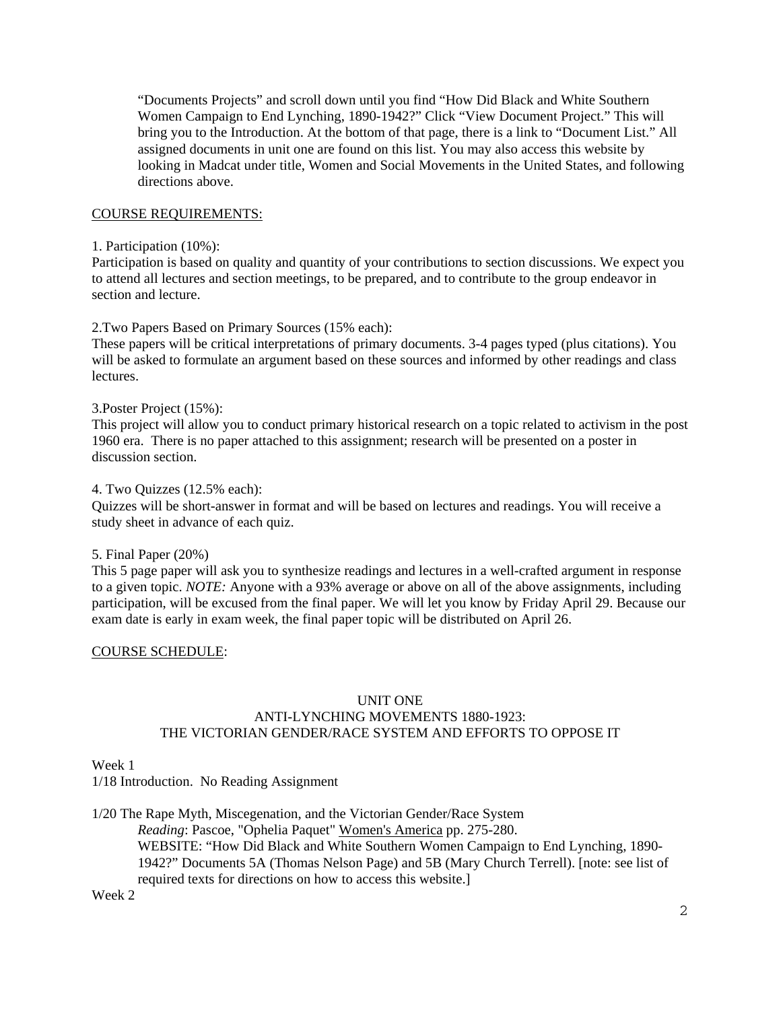"Documents Projects" and scroll down until you find "How Did Black and White Southern Women Campaign to End Lynching, 1890-1942?" Click "View Document Project." This will bring you to the Introduction. At the bottom of that page, there is a link to "Document List." All assigned documents in unit one are found on this list. You may also access this website by looking in Madcat under title, Women and Social Movements in the United States, and following directions above.

## COURSE REQUIREMENTS:

### 1. Participation (10%):

Participation is based on quality and quantity of your contributions to section discussions. We expect you to attend all lectures and section meetings, to be prepared, and to contribute to the group endeavor in section and lecture.

## 2.Two Papers Based on Primary Sources (15% each):

These papers will be critical interpretations of primary documents. 3-4 pages typed (plus citations). You will be asked to formulate an argument based on these sources and informed by other readings and class lectures.

### 3.Poster Project (15%):

This project will allow you to conduct primary historical research on a topic related to activism in the post 1960 era. There is no paper attached to this assignment; research will be presented on a poster in discussion section.

## 4. Two Quizzes (12.5% each):

Quizzes will be short-answer in format and will be based on lectures and readings. You will receive a study sheet in advance of each quiz.

## 5. Final Paper (20%)

This 5 page paper will ask you to synthesize readings and lectures in a well-crafted argument in response to a given topic. *NOTE:* Anyone with a 93% average or above on all of the above assignments, including participation, will be excused from the final paper. We will let you know by Friday April 29. Because our exam date is early in exam week, the final paper topic will be distributed on April 26.

## COURSE SCHEDULE:

# UNIT ONE ANTI-LYNCHING MOVEMENTS 1880-1923: THE VICTORIAN GENDER/RACE SYSTEM AND EFFORTS TO OPPOSE IT

# Week 1

1/18 Introduction. No Reading Assignment

1/20 The Rape Myth, Miscegenation, and the Victorian Gender/Race System *Reading*: Pascoe, "Ophelia Paquet" Women's America pp. 275-280. WEBSITE: "How Did Black and White Southern Women Campaign to End Lynching, 1890- 1942?" Documents 5A (Thomas Nelson Page) and 5B (Mary Church Terrell). [note: see list of required texts for directions on how to access this website.]

Week 2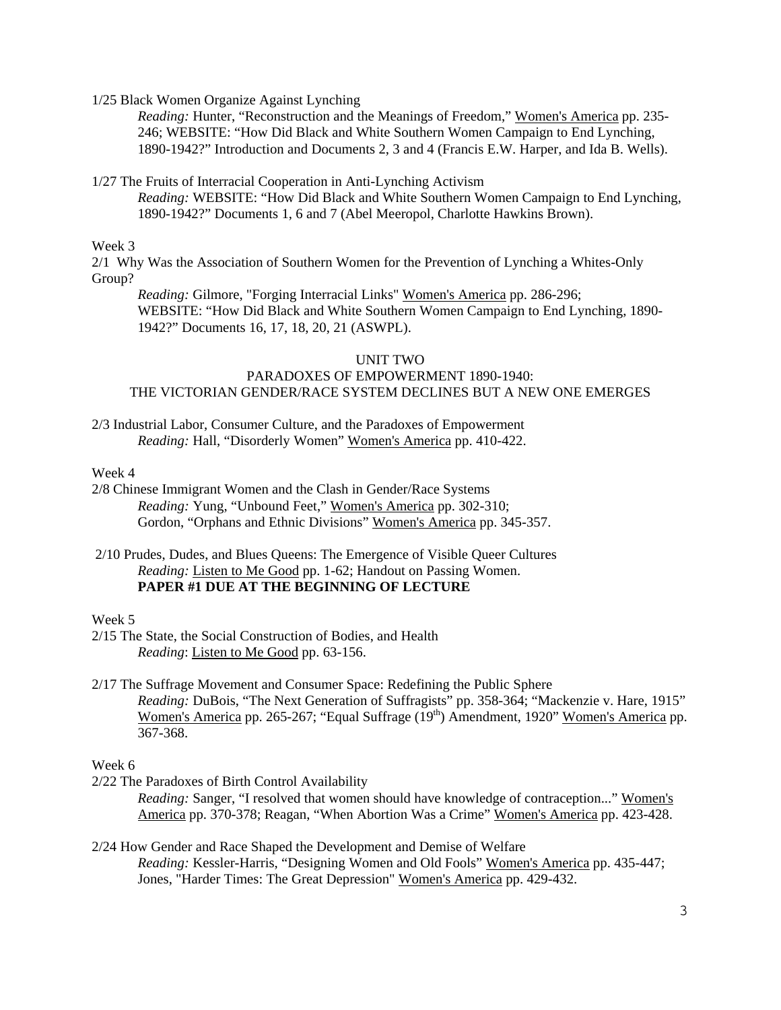1/25 Black Women Organize Against Lynching

*Reading:* Hunter, "Reconstruction and the Meanings of Freedom," Women's America pp. 235- 246; WEBSITE: "How Did Black and White Southern Women Campaign to End Lynching, 1890-1942?" Introduction and Documents 2, 3 and 4 (Francis E.W. Harper, and Ida B. Wells).

1/27 The Fruits of Interracial Cooperation in Anti-Lynching Activism

*Reading:* WEBSITE: "How Did Black and White Southern Women Campaign to End Lynching, 1890-1942?" Documents 1, 6 and 7 (Abel Meeropol, Charlotte Hawkins Brown).

Week 3

2/1 Why Was the Association of Southern Women for the Prevention of Lynching a Whites-Only Group?

*Reading:* Gilmore, "Forging Interracial Links" Women's America pp. 286-296; WEBSITE: "How Did Black and White Southern Women Campaign to End Lynching, 1890- 1942?" Documents 16, 17, 18, 20, 21 (ASWPL).

# UNIT TWO

# PARADOXES OF EMPOWERMENT 1890-1940: THE VICTORIAN GENDER/RACE SYSTEM DECLINES BUT A NEW ONE EMERGES

2/3 Industrial Labor, Consumer Culture, and the Paradoxes of Empowerment *Reading:* Hall, "Disorderly Women" Women's America pp. 410-422.

Week 4

2/8 Chinese Immigrant Women and the Clash in Gender/Race Systems *Reading:* Yung, "Unbound Feet," Women's America pp. 302-310; Gordon, "Orphans and Ethnic Divisions" Women's America pp. 345-357.

 2/10 Prudes, Dudes, and Blues Queens: The Emergence of Visible Queer Cultures *Reading:* Listen to Me Good pp. 1-62; Handout on Passing Women. **PAPER #1 DUE AT THE BEGINNING OF LECTURE** 

# Week 5

2/15 The State, the Social Construction of Bodies, and Health *Reading*: Listen to Me Good pp. 63-156.

# 2/17 The Suffrage Movement and Consumer Space: Redefining the Public Sphere *Reading:* DuBois, "The Next Generation of Suffragists" pp. 358-364; "Mackenzie v. Hare, 1915" Women's America pp. 265-267; "Equal Suffrage (19<sup>th</sup>) Amendment, 1920" Women's America pp. 367-368.

# Week 6

2/22 The Paradoxes of Birth Control Availability

*Reading:* Sanger, "I resolved that women should have knowledge of contraception..." Women's America pp. 370-378; Reagan, "When Abortion Was a Crime" Women's America pp. 423-428.

2/24 How Gender and Race Shaped the Development and Demise of Welfare *Reading:* Kessler-Harris, "Designing Women and Old Fools" Women's America pp. 435-447; Jones, "Harder Times: The Great Depression" Women's America pp. 429-432.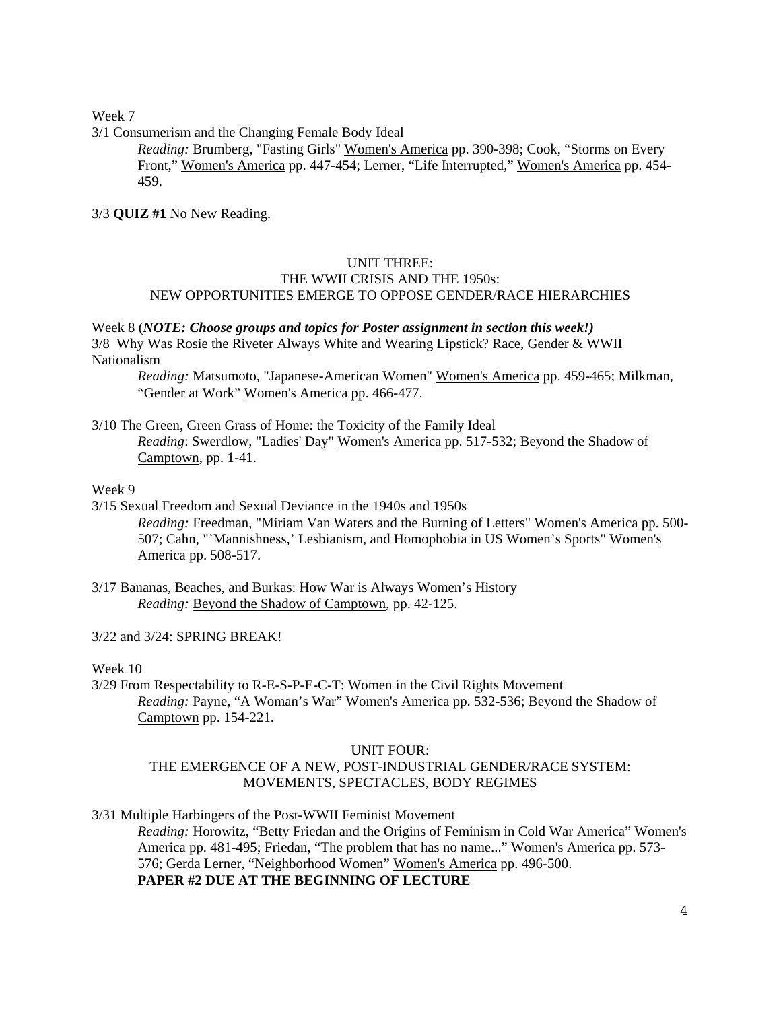Week 7

3/1 Consumerism and the Changing Female Body Ideal

*Reading:* Brumberg, "Fasting Girls" Women's America pp. 390-398; Cook, "Storms on Every Front," Women's America pp. 447-454; Lerner, "Life Interrupted," Women's America pp. 454- 459.

3/3 **QUIZ #1** No New Reading.

## UNIT THREE: THE WWII CRISIS AND THE 1950s: NEW OPPORTUNITIES EMERGE TO OPPOSE GENDER/RACE HIERARCHIES

#### Week 8 (*NOTE: Choose groups and topics for Poster assignment in section this week!)* 3/8 Why Was Rosie the Riveter Always White and Wearing Lipstick? Race, Gender & WWII Nationalism

*Reading:* Matsumoto, "Japanese-American Women" Women's America pp. 459-465; Milkman, "Gender at Work" Women's America pp. 466-477.

3/10 The Green, Green Grass of Home: the Toxicity of the Family Ideal *Reading*: Swerdlow, "Ladies' Day" Women's America pp. 517-532; Beyond the Shadow of Camptown, pp. 1-41.

## Week 9

3/15 Sexual Freedom and Sexual Deviance in the 1940s and 1950s *Reading:* Freedman, "Miriam Van Waters and the Burning of Letters" Women's America pp. 500- 507; Cahn, "'Mannishness,' Lesbianism, and Homophobia in US Women's Sports" Women's America pp. 508-517.

3/17 Bananas, Beaches, and Burkas: How War is Always Women's History *Reading:* Beyond the Shadow of Camptown, pp. 42-125.

3/22 and 3/24: SPRING BREAK!

Week 10

3/29 From Respectability to R-E-S-P-E-C-T: Women in the Civil Rights Movement *Reading:* Payne, "A Woman's War" Women's America pp. 532-536; Beyond the Shadow of Camptown pp. 154-221.

### UNIT FOUR:

# THE EMERGENCE OF A NEW, POST-INDUSTRIAL GENDER/RACE SYSTEM: MOVEMENTS, SPECTACLES, BODY REGIMES

3/31 Multiple Harbingers of the Post-WWII Feminist Movement

*Reading:* Horowitz, "Betty Friedan and the Origins of Feminism in Cold War America" Women's America pp. 481-495; Friedan, "The problem that has no name..." Women's America pp. 573-576; Gerda Lerner, "Neighborhood Women" Women's America pp. 496-500. **PAPER #2 DUE AT THE BEGINNING OF LECTURE**